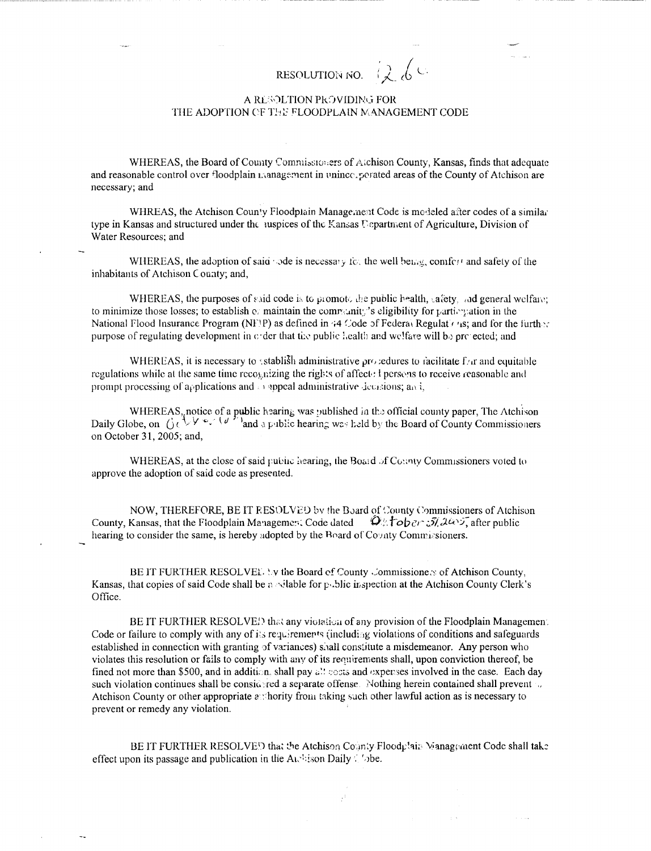## RESOLUTION NO.

## A RESOLTION PROVIDING FOR THE ADOPTION OF THE FLOODPLAIN MANAGEMENT CODE

WHEREAS, the Board of County Commissioners of Atchison County, Kansas, finds that adequate and reasonable control over floodplain management in unince, perated areas of the County of Atchison are necessary; and

WHREAS, the Atchison County Floodplain Management Code is modeled after codes of a similar type in Kansas and structured under the suspices of the Kansas Uspartment of Agriculture, Division of Water Resources; and

WHEREAS, the adoption of said  $\sim$  de is necessary for the well being, comfort and safety of the inhabitants of Atchison County; and,

WHEREAS, the purposes of said code is to promote the public health, safety, and general welfare: to minimize those losses; to establish or maintain the community's eligibility for particulation in the National Flood Insurance Program (NF\P) as defined in 44 Code of Federal Regulations; and for the further purpose of regulating development in crder that the public health and welfare will be prejected; and

WHEREAS, it is necessary to stablish administrative procedures to racilitate for and equitable regulations while at the same time recognizing the rights of affect: I persons to receive reasonable and prompt processing of applications and  $\Box$  appeal administrative decisions; and,

WHEREAS, notice of a public hearing was published in the official county paper, The Atchison<br>Daily Globe, on  $\bigcup_{i=1}^{n} \bigcup_{j=1}^{n} \bigcup_{j=1}^{n} \bigcup_{j=1}^{n} \bigcup_{j=1}^{n} \bigcup_{j=1}^{n}$  and a public hearing was held by the Board on October 31, 2005; and,

WHEREAS, at the close of said public hearing, the Board of County Commissioners voted to approve the adoption of said code as presented.

NOW, THEREFORE, BE IT RESOLVED by the Board of County Commissioners of Atchison County, Kansas, that the Floodplain Management Code dated  $\mathcal{Q}_{\mathbb{Z}}$  to  $\partial_{\mathbb{Z}}$   $\partial_{\mathbb{Z}}$   $\partial_{\mathbb{Z}}$  after public hearing to consider the same, is hereby adopted by the Board of Covaty Commissioners.

BE IT FURTHER RESOLVEY. by the Board of County Commissioners of Atchison County, Kansas, that copies of said Code shall be a silable for public inspection at the Atchison County Clerk's Office.

BE IT FURTHER RESOLVE!) that any violation of any provision of the Floodplain Managemen. Code or failure to comply with any of its requirements (including violations of conditions and safeguards established in connection with granting of variances) shall constitute a misdemeanor. Any person who violates this resolution or fails to comply with any of its requirements shall, upon conviction thereof, be fined not more than \$500, and in addition, shall pay all posts and expenses involved in the case. Each day such violation continues shall be considered a separate offense. Nothing herein contained shall prevent Atchison County or other appropriate asshority from taking such other lawful action as is necessary to prevent or remedy any violation.

BE IT FURTHER RESOLVED that the Atchison County Floodplain Management Code shall take effect upon its passage and publication in the Austria Daily  $\zeta$  'obe.